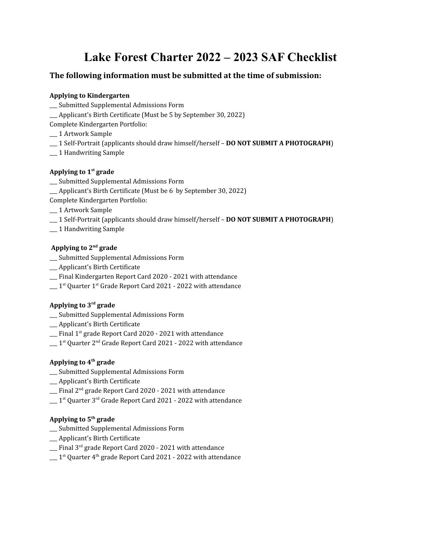# **Lake Forest Charter 2022 – 2023 SAF Checklist**

## **The following information must be submitted at the time of submission:**

#### **Applying to Kindergarten**

- \_\_\_ Submitted Supplemental Admissions Form
- \_\_\_ Applicant's Birth Certificate (Must be 5 by September 30, 2022)
- Complete Kindergarten Portfolio:
- \_\_\_ 1 Artwork Sample
- \_\_\_ 1 Self-Portrait (applicants should draw himself/herself **DO NOT SUBMIT A PHOTOGRAPH**)
- \_\_\_ 1 Handwriting Sample

## **Applying to 1 st grade**

- \_\_\_ Submitted Supplemental Admissions Form
- \_\_\_ Applicant's Birth Certificate (Must be 6 by September 30, 2022)
- Complete Kindergarten Portfolio:
- \_\_\_ 1 Artwork Sample
- \_\_\_ 1 Self-Portrait (applicants should draw himself/herself **DO NOT SUBMIT A PHOTOGRAPH**)
- \_\_\_ 1 Handwriting Sample

## Applying to 2<sup>nd</sup> grade

- \_\_\_ Submitted Supplemental Admissions Form
- \_\_\_ Applicant's Birth Certificate
- \_\_\_ Final Kindergarten Report Card 2020 2021 with attendance
- $\_\_$ 1<sup>st</sup> Quarter 1<sup>st</sup> Grade Report Card 2021 2022 with attendance

## **Applying to 3 rd grade**

- \_\_\_ Submitted Supplemental Admissions Form
- \_\_\_ Applicant's Birth Certificate
- \_\_\_ Final 1 st grade Report Card 2020 2021 with attendance
- $\_\_$  1st Quarter 2<sup>nd</sup> Grade Report Card 2021 2022 with attendance

## **Applying to 4 th grade**

- \_\_\_ Submitted Supplemental Admissions Form
- \_\_\_ Applicant's Birth Certificate
- \_\_\_ Final 2 nd grade Report Card 2020 2021 with attendance
- $\_\_$ 1<sup>st</sup> Quarter 3<sup>rd</sup> Grade Report Card 2021 2022 with attendance

#### **Applying to 5 th grade**

- \_\_\_ Submitted Supplemental Admissions Form
- \_\_\_ Applicant's Birth Certificate
- \_\_\_ Final 3 rd grade Report Card 2020 2021 with attendance
- $\equiv 1^{\rm st}$  Quarter 4th grade Report Card 2021 2022 with attendance